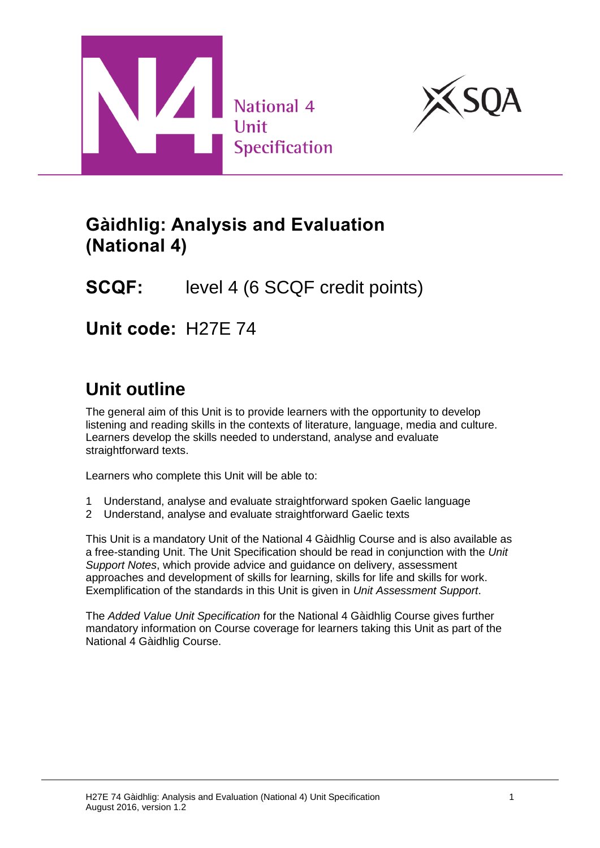



## **Gàidhlig: Analysis and Evaluation (National 4)**

## **SCQF:** level 4 (6 SCQF credit points)

**Unit code:** H27E 74

# **Unit outline**

The general aim of this Unit is to provide learners with the opportunity to develop listening and reading skills in the contexts of literature, language, media and culture. Learners develop the skills needed to understand, analyse and evaluate straightforward texts.

Learners who complete this Unit will be able to:

- 1 Understand, analyse and evaluate straightforward spoken Gaelic language
- 2 Understand, analyse and evaluate straightforward Gaelic texts

This Unit is a mandatory Unit of the National 4 Gàidhlig Course and is also available as a free-standing Unit. The Unit Specification should be read in conjunction with the *Unit Support Notes*, which provide advice and guidance on delivery, assessment approaches and development of skills for learning, skills for life and skills for work. Exemplification of the standards in this Unit is given in *Unit Assessment Support*.

The *Added Value Unit Specification* for the National 4 Gàidhlig Course gives further mandatory information on Course coverage for learners taking this Unit as part of the National 4 Gàidhlig Course.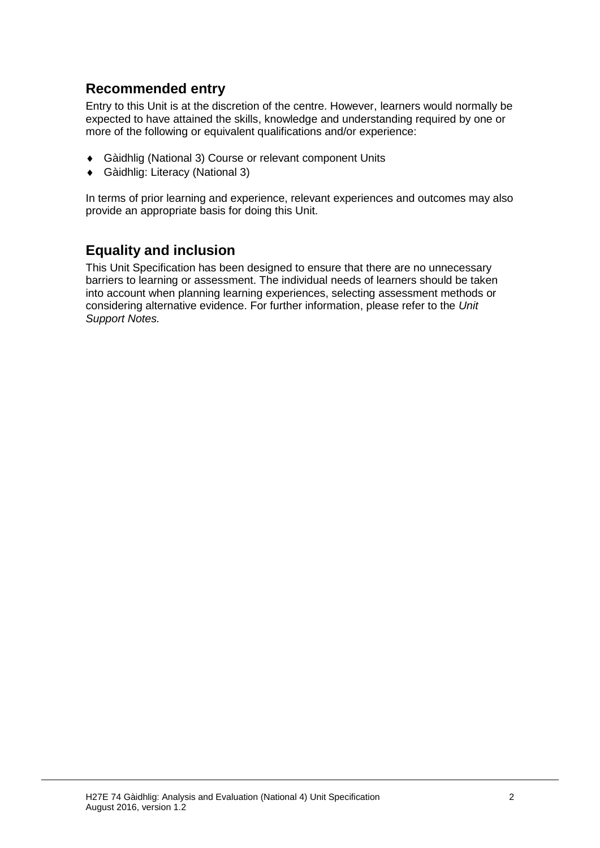### **Recommended entry**

Entry to this Unit is at the discretion of the centre. However, learners would normally be expected to have attained the skills, knowledge and understanding required by one or more of the following or equivalent qualifications and/or experience:

- Gàidhlig (National 3) Course or relevant component Units
- Gàidhlig: Literacy (National 3)

In terms of prior learning and experience, relevant experiences and outcomes may also provide an appropriate basis for doing this Unit.

### **Equality and inclusion**

This Unit Specification has been designed to ensure that there are no unnecessary barriers to learning or assessment. The individual needs of learners should be taken into account when planning learning experiences, selecting assessment methods or considering alternative evidence. For further information, please refer to the *Unit Support Notes.*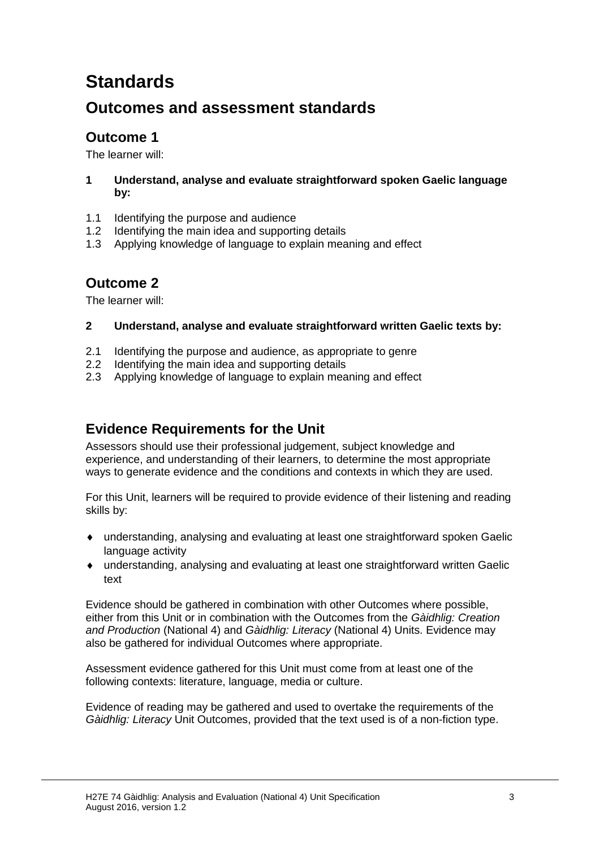# **Standards**

## **Outcomes and assessment standards**

### **Outcome 1**

The learner will:

#### **1 Understand, analyse and evaluate straightforward spoken Gaelic language by:**

- 1.1 Identifying the purpose and audience
- 1.2 Identifying the main idea and supporting details
- 1.3 Applying knowledge of language to explain meaning and effect

### **Outcome 2**

The learner will:

#### **2 Understand, analyse and evaluate straightforward written Gaelic texts by:**

- 2.1 Identifying the purpose and audience, as appropriate to genre
- 2.2 Identifying the main idea and supporting details
- 2.3 Applying knowledge of language to explain meaning and effect

### **Evidence Requirements for the Unit**

Assessors should use their professional judgement, subject knowledge and experience, and understanding of their learners, to determine the most appropriate ways to generate evidence and the conditions and contexts in which they are used.

For this Unit, learners will be required to provide evidence of their listening and reading skills by:

- understanding, analysing and evaluating at least one straightforward spoken Gaelic language activity
- understanding, analysing and evaluating at least one straightforward written Gaelic text

Evidence should be gathered in combination with other Outcomes where possible, either from this Unit or in combination with the Outcomes from the *Gàidhlig: Creation and Production* (National 4) and *Gàidhlig: Literacy* (National 4) Units. Evidence may also be gathered for individual Outcomes where appropriate.

Assessment evidence gathered for this Unit must come from at least one of the following contexts: literature, language, media or culture.

Evidence of reading may be gathered and used to overtake the requirements of the *Gàidhlig: Literacy* Unit Outcomes, provided that the text used is of a non-fiction type.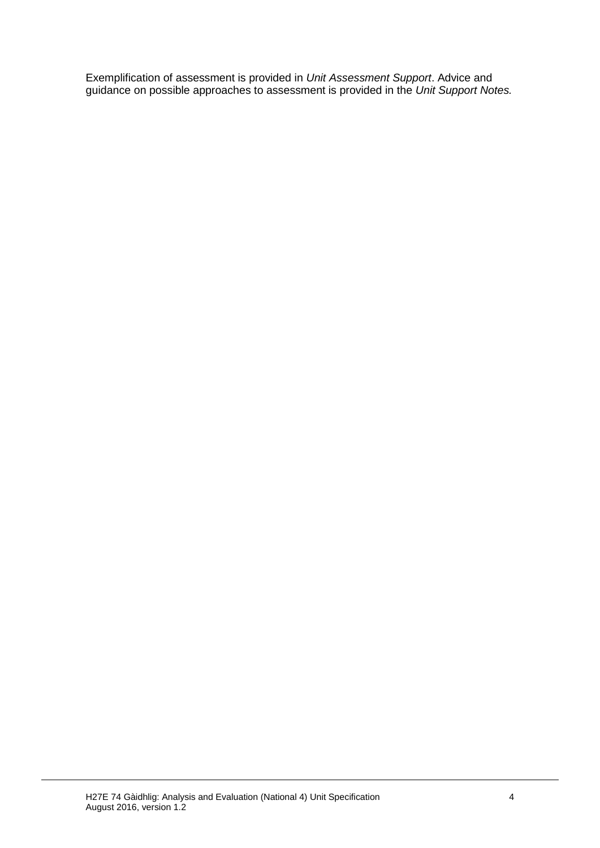Exemplification of assessment is provided in *Unit Assessment Support*. Advice and guidance on possible approaches to assessment is provided in the *Unit Support Notes.*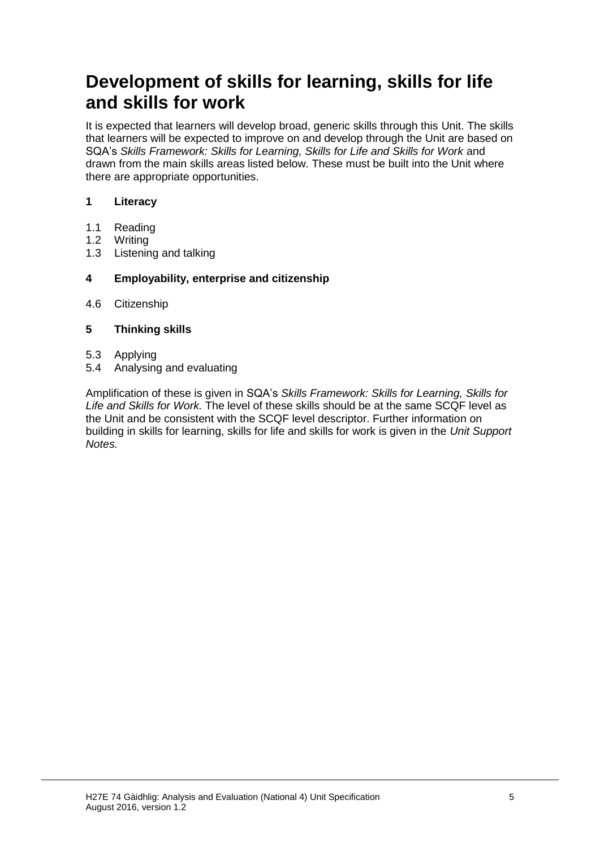## **Development of skills for learning, skills for life and skills for work**

It is expected that learners will develop broad, generic skills through this Unit. The skills that learners will be expected to improve on and develop through the Unit are based on SQA's *Skills Framework: Skills for Learning, Skills for Life and Skills for Work* and drawn from the main skills areas listed below. These must be built into the Unit where there are appropriate opportunities.

#### **1 Literacy**

- 1.1 Reading
- 1.2 Writing
- 1.3 Listening and talking

#### **4 Employability, enterprise and citizenship**

4.6 Citizenship

#### **5 Thinking skills**

- 5.3 Applying
- 5.4 Analysing and evaluating

Amplification of these is given in SQA's *Skills Framework: Skills for Learning, Skills for Life and Skills for Work.* The level of these skills should be at the same SCQF level as the Unit and be consistent with the SCQF level descriptor. Further information on building in skills for learning, skills for life and skills for work is given in the *Unit Support Notes.*